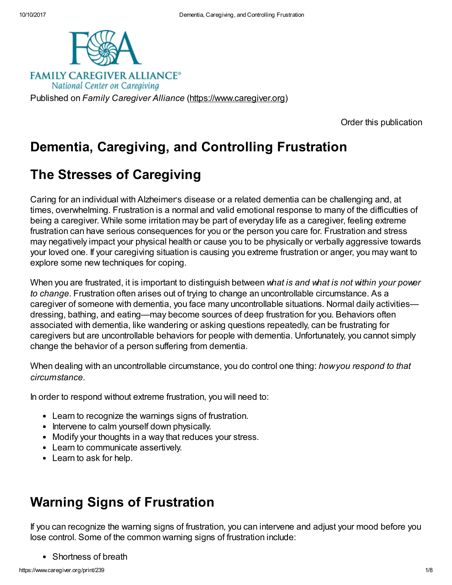

Order this publication

# Dementia, Caregiving, and Controlling Frustration

# The Stresses of Caregiving

Caring for an individual with Alzheimer's disease or a related dementia can be challenging and, at times, overwhelming. Frustration is a normal and valid emotional response to many of the difficulties of being a caregiver. While some irritation may be part of everyday life as a caregiver, feeling extreme frustration can have serious consequences for you or the person you care for. Frustration and stress may negatively impact your physical health or cause you to be physically or verbally aggressive towards your loved one. If your caregiving situation is causing you extreme frustration or anger, you may want to explore some new techniques for coping.

When you are frustrated, it is important to distinguish between what is and what is not within your power to change. Frustration often arises out of trying to change an uncontrollable circumstance. As a caregiver of someone with dementia, you face many uncontrollable situations. Normal daily activities dressing, bathing, and eating—may become sources of deep frustration for you. Behaviors often associated with dementia, like wandering or asking questions repeatedly, can be frustrating for caregivers but are uncontrollable behaviors for people with dementia. Unfortunately, you cannot simply change the behavior of a person suffering from dementia.

When dealing with an uncontrollable circumstance, you do control one thing: *how you respond to that* circumstance.

In order to respond without extreme frustration, you will need to:

- Learn to recognize the warnings signs of frustration.
- Intervene to calm yourself down physically.
- Modify your thoughts in a way that reduces your stress.
- Learn to communicate assertively.
- Learn to ask for help.

# Warning Signs of Frustration

If you can recognize the warning signs of frustration, you can intervene and adjust your mood before you lose control. Some of the common warning signs of frustration include:

• Shortness of breath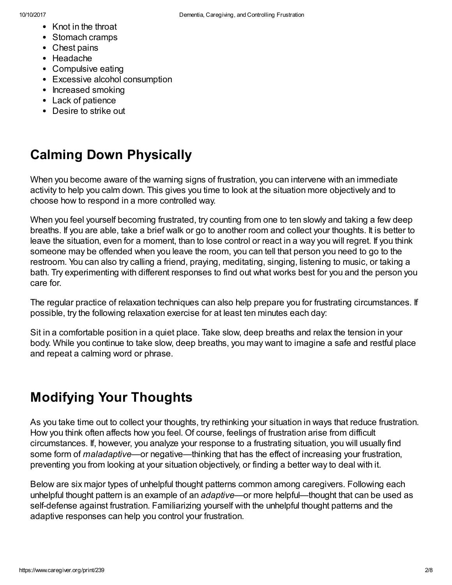- Knot in the throat
- Stomach cramps
- Chest pains
- Headache
- Compulsive eating
- Excessive alcohol consumption
- Increased smoking
- Lack of patience
- Desire to strike out

## Calming Down Physically

When you become aware of the warning signs of frustration, you can intervene with an immediate activity to help you calm down. This gives you time to look at the situation more objectively and to choose how to respond in a more controlled way.

When you feel yourself becoming frustrated, try counting from one to ten slowly and taking a few deep breaths. If you are able, take a brief walk or go to another room and collect your thoughts. It is better to leave the situation, even for a moment, than to lose control or react in a way you will regret. If you think someone may be offended when you leave the room, you can tell that person you need to go to the restroom. You can also try calling a friend, praying, meditating, singing, listening to music, or taking a bath. Try experimenting with different responses to find out what works best for you and the person you care for.

The regular practice of relaxation techniques can also help prepare you for frustrating circumstances. If possible, try the following relaxation exercise for at least ten minutes each day:

Sit in a comfortable position in a quiet place. Take slow, deep breaths and relax the tension in your body. While you continue to take slow, deep breaths, you may want to imagine a safe and restful place and repeat a calming word or phrase.

## Modifying Your Thoughts

As you take time out to collect your thoughts, try rethinking your situation in ways that reduce frustration. How you think often affects how you feel. Of course, feelings of frustration arise from difficult circumstances. If, however, you analyze your response to a frustrating situation, you will usually find some form of *maladaptive*—or negative—thinking that has the effect of increasing your frustration, preventing you from looking at your situation objectively, or finding a better way to deal with it.

Below are six major types of unhelpful thought patterns common among caregivers. Following each unhelpful thought pattern is an example of an *adaptive*—or more helpful—thought that can be used as self-defense against frustration. Familiarizing yourself with the unhelpful thought patterns and the adaptive responses can help you control your frustration.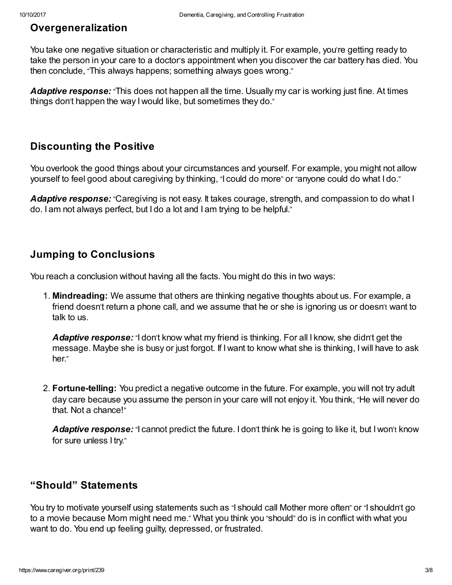### Overgeneralization

You take one negative situation or characteristic and multiply it. For example, you're getting ready to take the person in your care to a doctor's appointment when you discover the car battery has died. You then conclude, "This always happens; something always goes wrong."

Adaptive response: "This does not happen all the time. Usually my car is working just fine. At times things don't happen the way I would like, but sometimes they do."

### Discounting the Positive

You overlook the good things about your circumstances and yourself. For example, you might not allow yourself to feel good about caregiving by thinking, "I could do more" or "anyone could do what I do."

Adaptive response: "Caregiving is not easy. It takes courage, strength, and compassion to do what I do. I am not always perfect, but I do a lot and I am trying to be helpful."

### Jumping to Conclusions

You reach a conclusion without having all the facts. You might do this in two ways:

1. **Mindreading:** We assume that others are thinking negative thoughts about us. For example, a friend doesn't return a phone call, and we assume that he or she is ignoring us or doesn't want to talk to us.

Adaptive response: "I don't know what my friend is thinking. For all I know, she didn't get the message. Maybe she is busy or just forgot. If I want to know what she is thinking, I will have to ask her."

2. Fortune-telling: You predict a negative outcome in the future. For example, you will not try adult day care because you assume the person in your care will not enjoy it. You think, "He will never do that. Not a chance!"

Adaptive response: "I cannot predict the future. I don't think he is going to like it, but I won't know for sure unless I try."

### "Should" Statements

You try to motivate yourself using statements such as "I should call Mother more often" or "I shouldn't go to a movie because Mom might need me." What you think you "should" do is in conflict with what you want to do. You end up feeling guilty, depressed, or frustrated.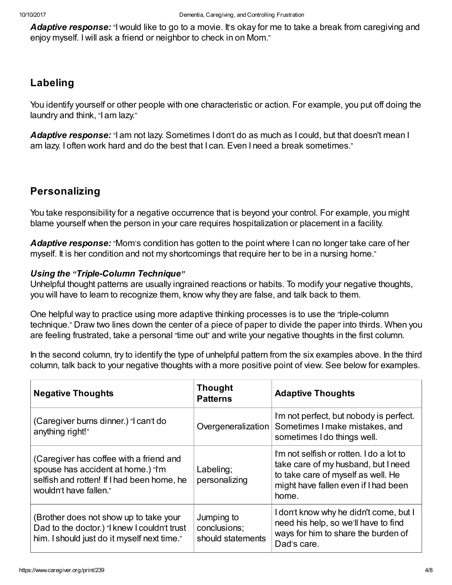Adaptive response: "I would like to go to a movie. It's okay for me to take a break from caregiving and enjoy myself. I will ask a friend or neighbor to check in on Mom."

### Labeling

You identify yourself or other people with one characteristic or action. For example, you put off doing the laundry and think, "I am lazy."

Adaptive response: "I am not lazy. Sometimes I don't do as much as I could, but that doesn't mean I am lazy. I often work hard and do the best that I can. Even I need a break sometimes."

## Personalizing

You take responsibility for a negative occurrence that is beyond your control. For example, you might blame yourself when the person in your care requires hospitalization or placement in a facility.

Adaptive response: "Mom's condition has gotten to the point where I can no longer take care of her myself. It is her condition and not my shortcomings that require her to be in a nursing home."

### Using the "Triple-Column Technique"

Unhelpful thought patterns are usually ingrained reactions or habits. To modify your negative thoughts, you will have to learn to recognize them, know why they are false, and talk back to them.

One helpful way to practice using more adaptive thinking processes is to use the "triple-column technique." Draw two lines down the center of a piece of paper to divide the paper into thirds. When you are feeling frustrated, take a personal "time out" and write your negative thoughts in the first column.

In the second column, try to identify the type of unhelpful pattern from the six examples above. In the third column, talk back to your negative thoughts with a more positive point of view. See below for examples.

| <b>Negative Thoughts</b>                                                                                                                              | <b>Thought</b><br><b>Patterns</b>               | <b>Adaptive Thoughts</b>                                                                                                                                               |
|-------------------------------------------------------------------------------------------------------------------------------------------------------|-------------------------------------------------|------------------------------------------------------------------------------------------------------------------------------------------------------------------------|
| (Caregiver burns dinner.) "I can't do<br>anything right!"                                                                                             | Overgeneralization                              | I'm not perfect, but nobody is perfect.<br>Sometimes I make mistakes, and<br>sometimes I do things well.                                                               |
| (Caregiver has coffee with a friend and<br>spouse has accident at home.) "I'm<br>selfish and rotten! If I had been home, he<br>wouldn't have fallen." | Labeling;<br>personalizing                      | I'm not selfish or rotten. I do a lot to<br>take care of my husband, but I need<br>to take care of myself as well. He<br>might have fallen even if I had been<br>home. |
| (Brother does not show up to take your<br>Dad to the doctor.) "I knew I couldn't trust<br>him. I should just do it myself next time."                 | Jumping to<br>conclusions;<br>should statements | I don't know why he didn't come, but I<br>need his help, so we'll have to find<br>ways for him to share the burden of<br>Dad's care.                                   |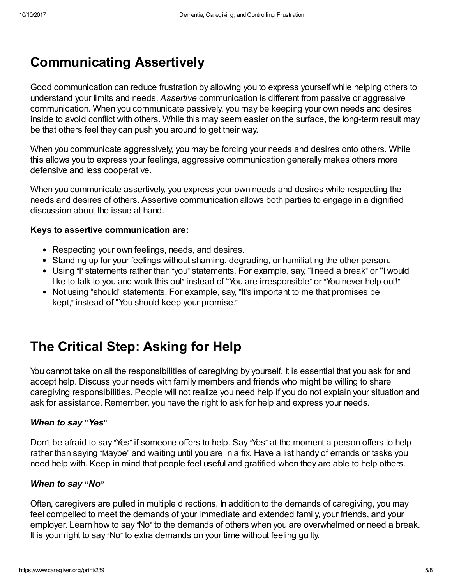## Communicating Assertively

Good communication can reduce frustration by allowing you to express yourself while helping others to understand your limits and needs. Assertive communication is different from passive or aggressive communication. When you communicate passively, you may be keeping your own needs and desires inside to avoid conflict with others. While this may seem easier on the surface, the long-term result may be that others feel they can push you around to get their way.

When you communicate aggressively, you may be forcing your needs and desires onto others. While this allows you to express your feelings, aggressive communication generally makes others more defensive and less cooperative.

When you communicate assertively, you express your own needs and desires while respecting the needs and desires of others. Assertive communication allows both parties to engage in a dignified discussion about the issue at hand.

#### Keys to assertive communication are:

- Respecting your own feelings, needs, and desires.
- Standing up for your feelings without shaming, degrading, or humiliating the other person.
- Using "I" statements rather than "you" statements. For example, say, "I need a break" or "I would like to talk to you and work this out" instead of "You are irresponsible" or "You never help out!"
- Not using "should" statements. For example, say, "It's important to me that promises be kept," instead of "You should keep your promise."

## The Critical Step: Asking for Help

You cannot take on all the responsibilities of caregiving by yourself. It is essential that you ask for and accept help. Discuss your needs with family members and friends who might be willing to share caregiving responsibilities. People will not realize you need help if you do not explain your situation and ask for assistance. Remember, you have the right to ask for help and express your needs.

#### When to say "Yes"

Don't be afraid to say "Yes" if someone offers to help. Say "Yes" at the moment a person offers to help rather than saying "Maybe" and waiting until you are in a fix. Have a list handy of errands or tasks you need help with. Keep in mind that people feel useful and gratified when they are able to help others.

#### When to say "No"

Often, caregivers are pulled in multiple directions. In addition to the demands of caregiving, you may feel compelled to meet the demands of your immediate and extended family, your friends, and your employer. Learn how to say "No" to the demands of others when you are overwhelmed or need a break. It is your right to say "No" to extra demands on your time without feeling guilty.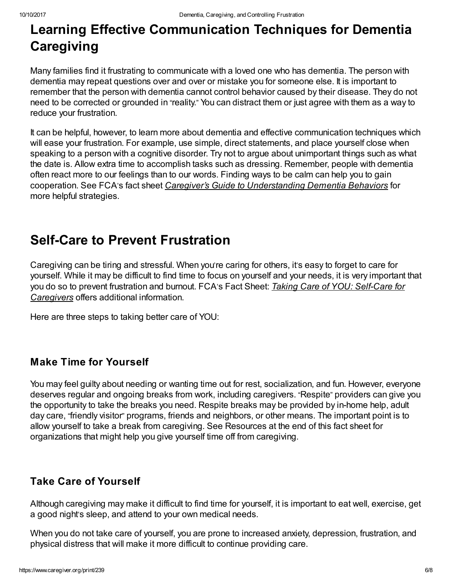# Learning Effective Communication Techniques for Dementia **Caregiving**

Many families find it frustrating to communicate with a loved one who has dementia. The person with dementia may repeat questions over and over or mistake you for someone else. It is important to remember that the person with dementia cannot control behavior caused by their disease. They do not need to be corrected or grounded in "reality." You can distract them or just agree with them as a way to reduce your frustration.

It can be helpful, however, to learn more about dementia and effective communication techniques which will ease your frustration. For example, use simple, direct statements, and place yourself close when speaking to a person with a cognitive disorder. Try not to argue about unimportant things such as what the date is. Allow extra time to accomplish tasks such as dressing. Remember, people with dementia often react more to our feelings than to our words. Finding ways to be calm can help you to gain cooperation. See FCA's fact sheet [Caregiver's Guide](https://www.caregiver.org/caregivers-guide-understanding-dementia-behaviors) to Understanding Dementia Behaviors for more helpful strategies.

# Self-Care to Prevent Frustration

Caregiving can be tiring and stressful. When you're caring for others, it's easy to forget to care for yourself. While it may be difficult to find time to focus on yourself and your needs, it is very important that you do so to prevent frustration and burnout. FCA's Fact Sheet: Taking Care of YOU: Self-Care for Caregivers [offers additional](https://www.caregiver.org/taking-care-you-self-care-family-caregivers) information.

Here are three steps to taking better care of YOU:

### Make Time for Yourself

You may feel guilty about needing or wanting time out for rest, socialization, and fun. However, everyone deserves regular and ongoing breaks from work, including caregivers. "Respite" providers can give you the opportunity to take the breaks you need. Respite breaks may be provided by in-home help, adult day care, "friendly visitor" programs, friends and neighbors, or other means. The important point is to allow yourself to take a break from caregiving. See Resources at the end of this fact sheet for organizations that might help you give yourself time off from caregiving.

### Take Care of Yourself

Although caregiving may make it difficult to find time for yourself, it is important to eat well, exercise, get a good night's sleep, and attend to your own medical needs.

When you do not take care of yourself, you are prone to increased anxiety, depression, frustration, and physical distress that will make it more difficult to continue providing care.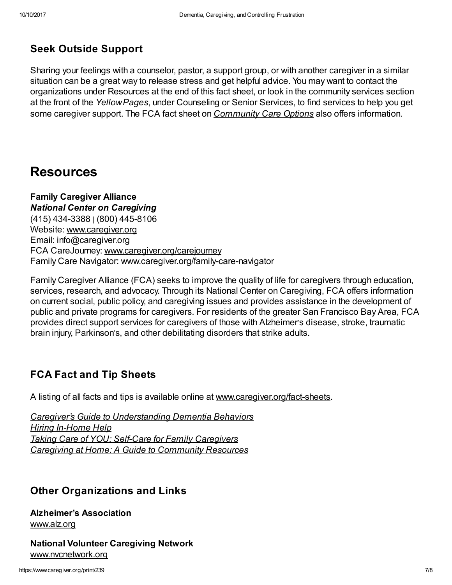### Seek Outside Support

Sharing your feelings with a counselor, pastor, a support group, or with another caregiver in a similar situation can be a great way to release stress and get helpful advice. You may want to contact the organizations under Resources at the end of this fact sheet, or look in the community services section at the front of the YellowPages, under Counseling or Senior Services, to find services to help you get some caregiver support. The FCA fact sheet on *[Community Care](https://www.caregiver.org/community-care-options) Options* also offers information.

## Resources

Family Caregiver Alliance National Center on Caregiving (415) 434-3388 | (800) 445-8106 Website: [www.caregiver.org](http://www.caregiver.org/) Email: [info@caregiver.org](mailto:info@caregiver.org) FCA CareJourney: [www.caregiver.org/carejourney](http://www.caregiver.org/carejourney) Family Care Navigator: [www.caregiver.org/family-care-navigator](http://www.caregiver.org/family-care-navigator)

Family Caregiver Alliance (FCA) seeks to improve the quality of life for caregivers through education, services, research, and advocacy. Through its National Center on Caregiving, FCA offers information on current social, public policy, and caregiving issues and provides assistance in the development of public and private programs for caregivers. For residents of the greater San Francisco Bay Area, FCA provides direct support services for caregivers of those with Alzheimer's disease, stroke, traumatic brain injury, Parkinson's, and other debilitating disorders that strike adults.

### FCA Fact and Tip Sheets

A listing of all facts and tips is available online at [www.caregiver.org/fact-sheets.](http://www.caregiver.org/fact-sheets)

[Caregiver's Guide](https://www.caregiver.org/caregivers-guide-understanding-dementia-behaviors) to Understanding Dementia Behaviors Hiring [In-Home](https://www.caregiver.org/hiring-home-help) Help Taking Care of YOU: Self-Care for [Family Caregivers](https://www.caregiver.org/taking-care-you-self-care-family-caregivers) Caregiving at Home: A Guide to [Community Resources](https://www.caregiver.org/caregiving-home-guide-community-resources)

### Other Organizations and Links

Alzheimer's Association [www.alz.org](http://www.alz.org/)

National Volunteer Caregiving Network [www.nvcnetwork.org](http://www.nvcnetwork.org/)